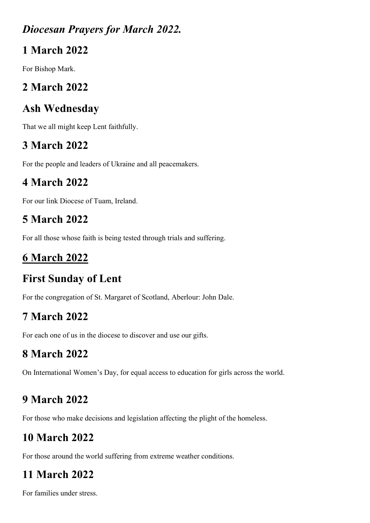#### Diocesan Prayers for March 2022.

### 1 March 2022

For Bishop Mark.

## 2 March 2022

## Ash Wednesday

That we all might keep Lent faithfully.

## 3 March 2022

For the people and leaders of Ukraine and all peacemakers.

## 4 March 2022

For our link Diocese of Tuam, Ireland.

## 5 March 2022

For all those whose faith is being tested through trials and suffering.

# 6 March 2022

## First Sunday of Lent

For the congregation of St. Margaret of Scotland, Aberlour: John Dale.

## 7 March 2022

For each one of us in the diocese to discover and use our gifts.

# 8 March 2022

On International Women's Day, for equal access to education for girls across the world.

## 9 March 2022

For those who make decisions and legislation affecting the plight of the homeless.

# 10 March 2022

For those around the world suffering from extreme weather conditions.

# 11 March 2022

For families under stress.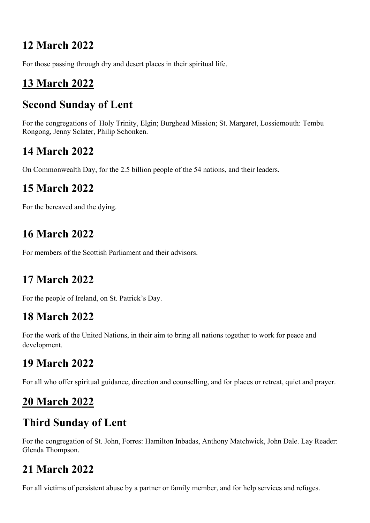### 12 March 2022

For those passing through dry and desert places in their spiritual life.

## 13 March 2022

## Second Sunday of Lent

For the congregations of Holy Trinity, Elgin; Burghead Mission; St. Margaret, Lossiemouth: Tembu Rongong, Jenny Sclater, Philip Schonken.

## 14 March 2022

On Commonwealth Day, for the 2.5 billion people of the 54 nations, and their leaders.

### 15 March 2022

For the bereaved and the dying.

## 16 March 2022

For members of the Scottish Parliament and their advisors.

#### 17 March 2022

For the people of Ireland, on St. Patrick's Day.

#### 18 March 2022

For the work of the United Nations, in their aim to bring all nations together to work for peace and development.

## 19 March 2022

For all who offer spiritual guidance, direction and counselling, and for places or retreat, quiet and prayer.

## 20 March 2022

## Third Sunday of Lent

For the congregation of St. John, Forres: Hamilton Inbadas, Anthony Matchwick, John Dale. Lay Reader: Glenda Thompson.

## 21 March 2022

For all victims of persistent abuse by a partner or family member, and for help services and refuges.